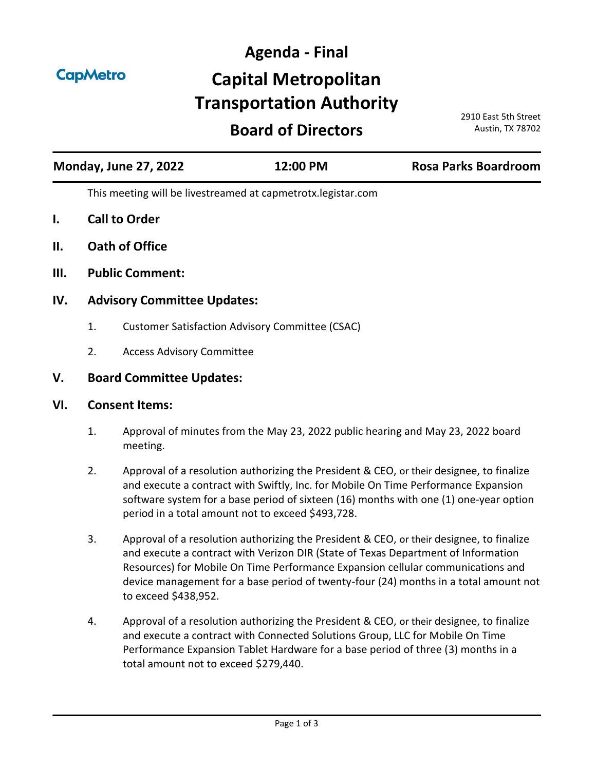**CapMetro** 

# **Agenda - Final Capital Metropolitan Transportation Authority**

# **Board of Directors**

2910 East 5th Street Austin, TX 78702

| <b>Monday, June 27, 2022</b> |                                                              | 12:00 PM | <b>Rosa Parks Boardroom</b> |
|------------------------------|--------------------------------------------------------------|----------|-----------------------------|
|                              | This meeting will be livestreamed at capmetrotx.legistar.com |          |                             |
| I.                           | <b>Call to Order</b>                                         |          |                             |
| II.                          | <b>Oath of Office</b>                                        |          |                             |
| III.                         | <b>Public Comment:</b>                                       |          |                             |

# **IV. Advisory Committee Updates:**

- 1. [Customer Satisfaction Advisory Committee \(CSAC\)](http://capmetrotx.legistar.com/gateway.aspx?m=l&id=/matter.aspx?key=1306)
- 2. [Access Advisory Committee](http://capmetrotx.legistar.com/gateway.aspx?m=l&id=/matter.aspx?key=1307)

# **V. Board Committee Updates:**

#### **VI. Consent Items:**

- 1. [Approval of minutes from the May 23, 2022 public hearing and May 23, 2022 board](http://capmetrotx.legistar.com/gateway.aspx?m=l&id=/matter.aspx?key=1567)  meeting.
- 2. Approval of a resolution authorizing the President & CEO, or their designee, to finalize and execute a contract with Swiftly, Inc. for Mobile On Time Performance Expansion [software system for a base period of sixteen \(16\) months with one \(1\) one-year option](http://capmetrotx.legistar.com/gateway.aspx?m=l&id=/matter.aspx?key=1385)  period in a total amount not to exceed \$493,728.
- 3. Approval of a resolution authorizing the President & CEO, or their designee, to finalize and execute a contract with Verizon DIR (State of Texas Department of Information Resources) for Mobile On Time Performance Expansion cellular communications and [device management for a base period of twenty-four \(24\) months in a total amount not](http://capmetrotx.legistar.com/gateway.aspx?m=l&id=/matter.aspx?key=1386)  to exceed \$438,952.
- 4. Approval of a resolution authorizing the President & CEO, or their designee, to finalize and execute a contract with Connected Solutions Group, LLC for Mobile On Time [Performance Expansion Tablet Hardware for a base period of three \(3\) months in a](http://capmetrotx.legistar.com/gateway.aspx?m=l&id=/matter.aspx?key=1562)  total amount not to exceed \$279,440.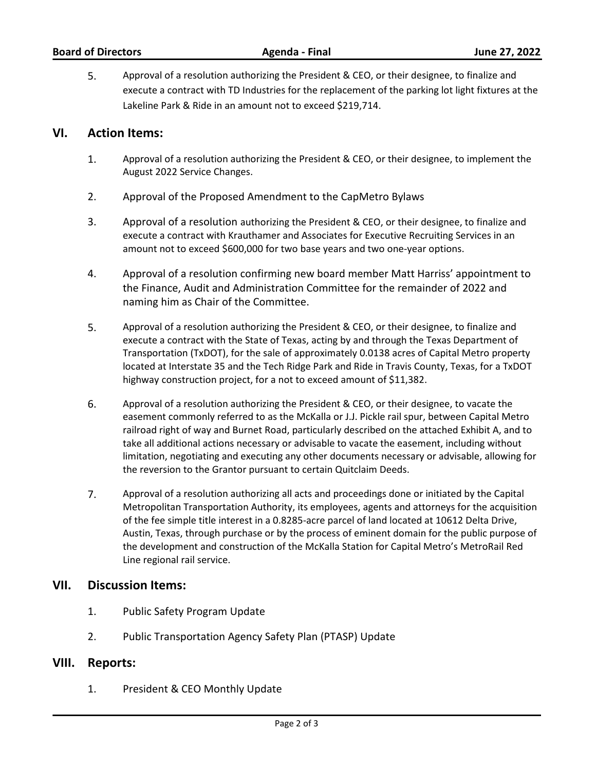# **VI. Action Items:**

- 1. [Approval of a resolution authorizing the President & CEO, or their designee, to implement the](http://capmetrotx.legistar.com/gateway.aspx?m=l&id=/matter.aspx?key=1565)  August 2022 Service Changes.
- 2. [Approval of the Proposed Amendment to the CapMetro Bylaws](http://capmetrotx.legistar.com/gateway.aspx?m=l&id=/matter.aspx?key=1543)
- 3. Approval of a resolution authorizing the President & CEO, or their designee, to finalize and [execute a contract with Krauthamer and Associates for Executive Recruiting Services in an](http://capmetrotx.legistar.com/gateway.aspx?m=l&id=/matter.aspx?key=1584)  amount not to exceed \$600,000 for two base years and two one-year options.
- 4. [Approval of a resolution confirming new board member Matt Harriss' appointment to](http://capmetrotx.legistar.com/gateway.aspx?m=l&id=/matter.aspx?key=1571)  the Finance, Audit and Administration Committee for the remainder of 2022 and naming him as Chair of the Committee.
- 5. Approval of a resolution authorizing the President & CEO, or their designee, to finalize and execute a contract with the State of Texas, acting by and through the Texas Department of Transportation (TxDOT), for the sale of approximately 0.0138 acres of Capital Metro property [located at Interstate 35 and the Tech Ridge Park and Ride in Travis County, Texas, for a TxDOT](http://capmetrotx.legistar.com/gateway.aspx?m=l&id=/matter.aspx?key=1586)  highway construction project, for a not to exceed amount of \$11,382.
- 6. Approval of a resolution authorizing the President & CEO, or their designee, to vacate the easement commonly referred to as the McKalla or J.J. Pickle rail spur, between Capital Metro railroad right of way and Burnet Road, particularly described on the attached Exhibit A, and to take all additional actions necessary or advisable to vacate the easement, including without [limitation, negotiating and executing any other documents necessary or advisable, allowing for](http://capmetrotx.legistar.com/gateway.aspx?m=l&id=/matter.aspx?key=1588)  the reversion to the Grantor pursuant to certain Quitclaim Deeds.
- 7. Approval of a resolution authorizing all acts and proceedings done or initiated by the Capital [Metropolitan Transportation Authority, its employees, agents and attorneys for the acquisition](http://capmetrotx.legistar.com/gateway.aspx?m=l&id=/matter.aspx?key=1589)  of the fee simple title interest in a 0.8285-acre parcel of land located at 10612 Delta Drive, Austin, Texas, through purchase or by the process of eminent domain for the public purpose of the development and construction of the McKalla Station for Capital Metro's MetroRail Red Line regional rail service.

#### **VII. Discussion Items:**

- 1. [Public Safety Program Update](http://capmetrotx.legistar.com/gateway.aspx?m=l&id=/matter.aspx?key=1520)
- 2. [Public Transportation Agency Safety Plan \(PTASP\) Update](http://capmetrotx.legistar.com/gateway.aspx?m=l&id=/matter.aspx?key=1575)

#### **VIII. Reports:**

1. [President & CEO Monthly Update](http://capmetrotx.legistar.com/gateway.aspx?m=l&id=/matter.aspx?key=1457)